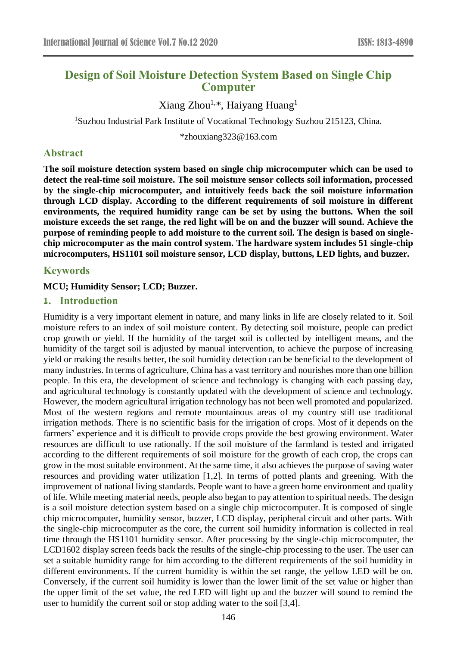# **Design of Soil Moisture Detection System Based on Single Chip Computer**

Xiang Zhou<sup>1,\*</sup>, Haiyang Huang<sup>1</sup>

<sup>1</sup>Suzhou Industrial Park Institute of Vocational Technology Suzhou 215123, China.

\*zhouxiang323@163.com

### **Abstract**

**The soil moisture detection system based on single chip microcomputer which can be used to detect the real-time soil moisture. The soil moisture sensor collects soil information, processed by the single-chip microcomputer, and intuitively feeds back the soil moisture information through LCD display. According to the different requirements of soil moisture in different environments, the required humidity range can be set by using the buttons. When the soil moisture exceeds the set range, the red light will be on and the buzzer will sound. Achieve the purpose of reminding people to add moisture to the current soil. The design is based on singlechip microcomputer as the main control system. The hardware system includes 51 single-chip microcomputers, HS1101 soil moisture sensor, LCD display, buttons, LED lights, and buzzer.**

### **Keywords**

#### **MCU; Humidity Sensor; LCD; Buzzer.**

#### **1. Introduction**

Humidity is a very important element in nature, and many links in life are closely related to it. Soil moisture refers to an index of soil moisture content. By detecting soil moisture, people can predict crop growth or yield. If the humidity of the target soil is collected by intelligent means, and the humidity of the target soil is adjusted by manual intervention, to achieve the purpose of increasing yield or making the results better, the soil humidity detection can be beneficial to the development of many industries. In terms of agriculture, China has a vast territory and nourishes more than one billion people. In this era, the development of science and technology is changing with each passing day, and agricultural technology is constantly updated with the development of science and technology. However, the modern agricultural irrigation technology has not been well promoted and popularized. Most of the western regions and remote mountainous areas of my country still use traditional irrigation methods. There is no scientific basis for the irrigation of crops. Most of it depends on the farmers' experience and it is difficult to provide crops provide the best growing environment. Water resources are difficult to use rationally. If the soil moisture of the farmland is tested and irrigated according to the different requirements of soil moisture for the growth of each crop, the crops can grow in the most suitable environment. At the same time, it also achieves the purpose of saving water resources and providing water utilization [1,2]. In terms of potted plants and greening. With the improvement of national living standards. People want to have a green home environment and quality of life. While meeting material needs, people also began to pay attention to spiritual needs. The design is a soil moisture detection system based on a single chip microcomputer. It is composed of single chip microcomputer, humidity sensor, buzzer, LCD display, peripheral circuit and other parts. With the single-chip microcomputer as the core, the current soil humidity information is collected in real time through the HS1101 humidity sensor. After processing by the single-chip microcomputer, the LCD1602 display screen feeds back the results of the single-chip processing to the user. The user can set a suitable humidity range for him according to the different requirements of the soil humidity in different environments. If the current humidity is within the set range, the yellow LED will be on. Conversely, if the current soil humidity is lower than the lower limit of the set value or higher than the upper limit of the set value, the red LED will light up and the buzzer will sound to remind the user to humidify the current soil or stop adding water to the soil [3,4].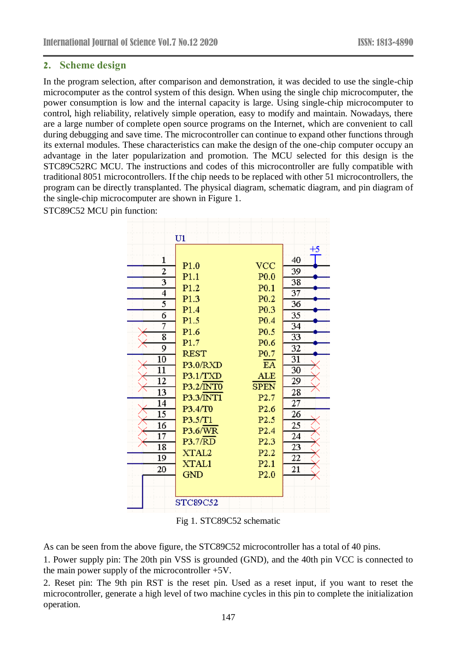## **2. Scheme design**

In the program selection, after comparison and demonstration, it was decided to use the single-chip microcomputer as the control system of this design. When using the single chip microcomputer, the power consumption is low and the internal capacity is large. Using single-chip microcomputer to control, high reliability, relatively simple operation, easy to modify and maintain. Nowadays, there are a large number of complete open source programs on the Internet, which are convenient to call during debugging and save time. The microcontroller can continue to expand other functions through its external modules. These characteristics can make the design of the one-chip computer occupy an advantage in the later popularization and promotion. The MCU selected for this design is the STC89C52RC MCU. The instructions and codes of this microcontroller are fully compatible with traditional 8051 microcontrollers. If the chip needs to be replaced with other 51 microcontrollers, the program can be directly transplanted. The physical diagram, schematic diagram, and pin diagram of the single-chip microcomputer are shown in Figure 1.

STC89C52 MCU pin function:

| 1<br>2<br>3<br>4<br>5<br>6<br>7<br>8<br>9<br>10<br>11<br>12<br>13<br>14<br>15<br>16<br>$17 \,$<br>18<br>19<br>20 | U1<br>P1.0<br>P1.1<br>P1.2<br>P1.3<br>P1.4<br>P1.5<br>P1.6<br>P1.7<br><b>REST</b><br>P3.0/RXD<br>P3.1/TXD<br>P3.2/INT0<br>$P3.3/\overline{N}T1$<br>P3.4/T0<br>P3.5/T1<br>$P3.6/\overline{WR}$<br>P3.7/RD<br>XTAL <sub>2</sub><br>XTAL1<br><b>GND</b> | <b>VCC</b><br><b>P0.0</b><br>P <sub>0.1</sub><br>P <sub>0.2</sub><br>P <sub>0.3</sub><br>P <sub>0.4</sub><br>P <sub>0.5</sub><br>P <sub>0.6</sub><br>P <sub>0.7</sub><br>$E\overline{A}$<br><b>ALE</b><br><b>SPEN</b><br>P <sub>2.7</sub><br>P <sub>2.6</sub><br>P2.5<br>P2.4<br>P <sub>2.3</sub><br>P2.2<br>P2.1<br>P2.0 | $+5$<br>40<br>39<br>38<br>37<br>36<br>35<br>34<br>33<br>32<br>31<br>30<br>29<br>28<br>27<br>26<br>25<br>24<br>23<br>22<br>21 |
|------------------------------------------------------------------------------------------------------------------|------------------------------------------------------------------------------------------------------------------------------------------------------------------------------------------------------------------------------------------------------|---------------------------------------------------------------------------------------------------------------------------------------------------------------------------------------------------------------------------------------------------------------------------------------------------------------------------|------------------------------------------------------------------------------------------------------------------------------|
|                                                                                                                  | <b>STC89C52</b>                                                                                                                                                                                                                                      |                                                                                                                                                                                                                                                                                                                           |                                                                                                                              |

Fig 1. STC89C52 schematic

As can be seen from the above figure, the STC89C52 microcontroller has a total of 40 pins.

1. Power supply pin: The 20th pin VSS is grounded (GND), and the 40th pin VCC is connected to the main power supply of the microcontroller +5V.

2. Reset pin: The 9th pin RST is the reset pin. Used as a reset input, if you want to reset the microcontroller, generate a high level of two machine cycles in this pin to complete the initialization operation.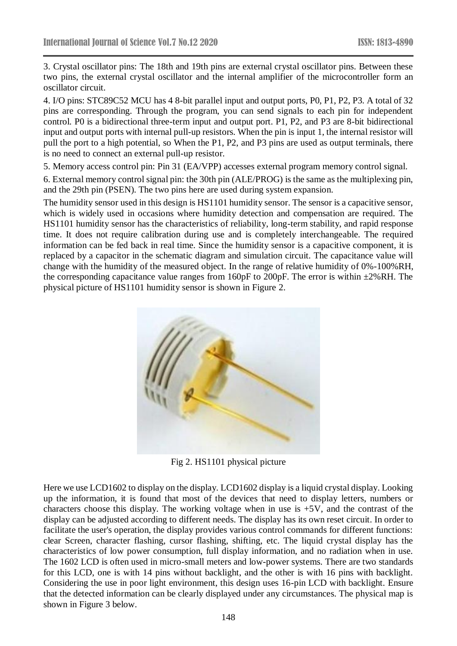3. Crystal oscillator pins: The 18th and 19th pins are external crystal oscillator pins. Between these two pins, the external crystal oscillator and the internal amplifier of the microcontroller form an oscillator circuit.

4. I/O pins: STC89C52 MCU has 4 8-bit parallel input and output ports, P0, P1, P2, P3. A total of 32 pins are corresponding. Through the program, you can send signals to each pin for independent control. P0 is a bidirectional three-term input and output port. P1, P2, and P3 are 8-bit bidirectional input and output ports with internal pull-up resistors. When the pin is input 1, the internal resistor will pull the port to a high potential, so When the P1, P2, and P3 pins are used as output terminals, there is no need to connect an external pull-up resistor.

5. Memory access control pin: Pin 31 (EA/VPP) accesses external program memory control signal.

6. External memory control signal pin: the 30th pin (ALE/PROG) is the same as the multiplexing pin, and the 29th pin (PSEN). The two pins here are used during system expansion.

The humidity sensor used in this design is HS1101 humidity sensor. The sensor is a capacitive sensor, which is widely used in occasions where humidity detection and compensation are required. The HS1101 humidity sensor has the characteristics of reliability, long-term stability, and rapid response time. It does not require calibration during use and is completely interchangeable. The required information can be fed back in real time. Since the humidity sensor is a capacitive component, it is replaced by a capacitor in the schematic diagram and simulation circuit. The capacitance value will change with the humidity of the measured object. In the range of relative humidity of 0%-100%RH, the corresponding capacitance value ranges from 160pF to 200pF. The error is within  $\pm 2\%$  RH. The physical picture of HS1101 humidity sensor is shown in Figure 2.



Fig 2. HS1101 physical picture

Here we use LCD1602 to display on the display. LCD1602 display is a liquid crystal display. Looking up the information, it is found that most of the devices that need to display letters, numbers or characters choose this display. The working voltage when in use is +5V, and the contrast of the display can be adjusted according to different needs. The display has its own reset circuit. In order to facilitate the user's operation, the display provides various control commands for different functions: clear Screen, character flashing, cursor flashing, shifting, etc. The liquid crystal display has the characteristics of low power consumption, full display information, and no radiation when in use. The 1602 LCD is often used in micro-small meters and low-power systems. There are two standards for this LCD, one is with 14 pins without backlight, and the other is with 16 pins with backlight. Considering the use in poor light environment, this design uses 16-pin LCD with backlight. Ensure that the detected information can be clearly displayed under any circumstances. The physical map is shown in Figure 3 below.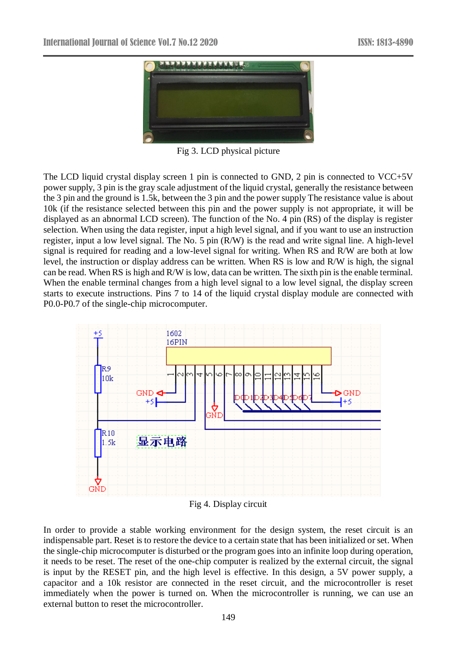

Fig 3. LCD physical picture

The LCD liquid crystal display screen 1 pin is connected to GND, 2 pin is connected to VCC+5V power supply, 3 pin is the gray scale adjustment of the liquid crystal, generally the resistance between the 3 pin and the ground is 1.5k, between the 3 pin and the power supply The resistance value is about 10k (if the resistance selected between this pin and the power supply is not appropriate, it will be displayed as an abnormal LCD screen). The function of the No. 4 pin (RS) of the display is register selection. When using the data register, input a high level signal, and if you want to use an instruction register, input a low level signal. The No. 5 pin (R/W) is the read and write signal line. A high-level signal is required for reading and a low-level signal for writing. When RS and R/W are both at low level, the instruction or display address can be written. When RS is low and R/W is high, the signal can be read. When RS is high and R/W is low, data can be written. The sixth pin is the enable terminal. When the enable terminal changes from a high level signal to a low level signal, the display screen starts to execute instructions. Pins 7 to 14 of the liquid crystal display module are connected with P0.0-P0.7 of the single-chip microcomputer.



Fig 4. Display circuit

In order to provide a stable working environment for the design system, the reset circuit is an indispensable part. Reset is to restore the device to a certain state that has been initialized or set. When the single-chip microcomputer is disturbed or the program goes into an infinite loop during operation, it needs to be reset. The reset of the one-chip computer is realized by the external circuit, the signal is input by the RESET pin, and the high level is effective. In this design, a 5V power supply, a capacitor and a 10k resistor are connected in the reset circuit, and the microcontroller is reset immediately when the power is turned on. When the microcontroller is running, we can use an external button to reset the microcontroller.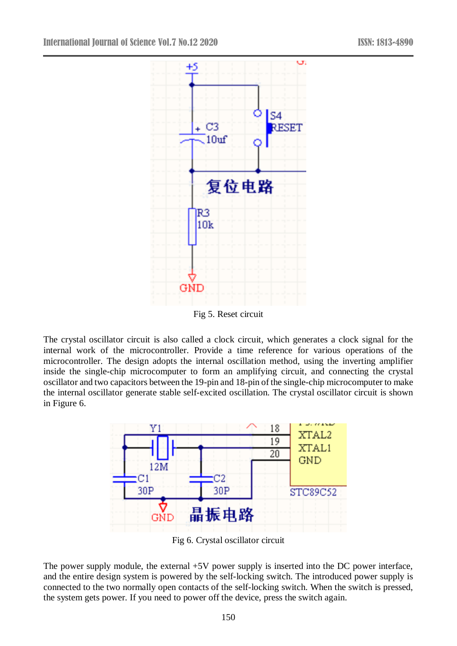

Fig 5. Reset circuit

The crystal oscillator circuit is also called a clock circuit, which generates a clock signal for the internal work of the microcontroller. Provide a time reference for various operations of the microcontroller. The design adopts the internal oscillation method, using the inverting amplifier inside the single-chip microcomputer to form an amplifying circuit, and connecting the crystal oscillator and two capacitors between the 19-pin and 18-pin of the single-chip microcomputer to make the internal oscillator generate stable self-excited oscillation. The crystal oscillator circuit is shown in Figure 6.



Fig 6. Crystal oscillator circuit

The power supply module, the external +5V power supply is inserted into the DC power interface, and the entire design system is powered by the self-locking switch. The introduced power supply is connected to the two normally open contacts of the self-locking switch. When the switch is pressed, the system gets power. If you need to power off the device, press the switch again.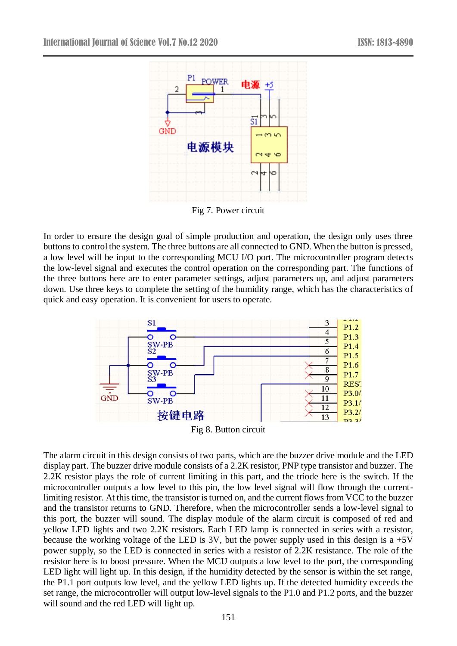

Fig 7. Power circuit

In order to ensure the design goal of simple production and operation, the design only uses three buttons to control the system. The three buttons are all connected to GND. When the button is pressed, a low level will be input to the corresponding MCU I/O port. The microcontroller program detects the low-level signal and executes the control operation on the corresponding part. The functions of the three buttons here are to enter parameter settings, adjust parameters up, and adjust parameters down. Use three keys to complete the setting of the humidity range, which has the characteristics of quick and easy operation. It is convenient for users to operate.



The alarm circuit in this design consists of two parts, which are the buzzer drive module and the LED display part. The buzzer drive module consists of a 2.2K resistor, PNP type transistor and buzzer. The 2.2K resistor plays the role of current limiting in this part, and the triode here is the switch. If the microcontroller outputs a low level to this pin, the low level signal will flow through the currentlimiting resistor. At this time, the transistor is turned on, and the current flows from VCC to the buzzer and the transistor returns to GND. Therefore, when the microcontroller sends a low-level signal to this port, the buzzer will sound. The display module of the alarm circuit is composed of red and yellow LED lights and two 2.2K resistors. Each LED lamp is connected in series with a resistor, because the working voltage of the LED is 3V, but the power supply used in this design is a  $+5V$ power supply, so the LED is connected in series with a resistor of 2.2K resistance. The role of the resistor here is to boost pressure. When the MCU outputs a low level to the port, the corresponding LED light will light up. In this design, if the humidity detected by the sensor is within the set range, the P1.1 port outputs low level, and the yellow LED lights up. If the detected humidity exceeds the set range, the microcontroller will output low-level signals to the P1.0 and P1.2 ports, and the buzzer will sound and the red LED will light up.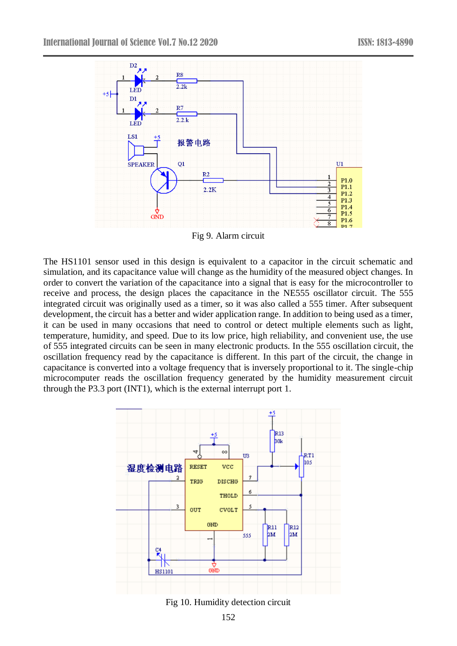

Fig 9. Alarm circuit

The HS1101 sensor used in this design is equivalent to a capacitor in the circuit schematic and simulation, and its capacitance value will change as the humidity of the measured object changes. In order to convert the variation of the capacitance into a signal that is easy for the microcontroller to receive and process, the design places the capacitance in the NE555 oscillator circuit. The 555 integrated circuit was originally used as a timer, so it was also called a 555 timer. After subsequent development, the circuit has a better and wider application range. In addition to being used as a timer, it can be used in many occasions that need to control or detect multiple elements such as light, temperature, humidity, and speed. Due to its low price, high reliability, and convenient use, the use of 555 integrated circuits can be seen in many electronic products. In the 555 oscillation circuit, the oscillation frequency read by the capacitance is different. In this part of the circuit, the change in capacitance is converted into a voltage frequency that is inversely proportional to it. The single-chip microcomputer reads the oscillation frequency generated by the humidity measurement circuit through the P3.3 port (INT1), which is the external interrupt port 1.



Fig 10. Humidity detection circuit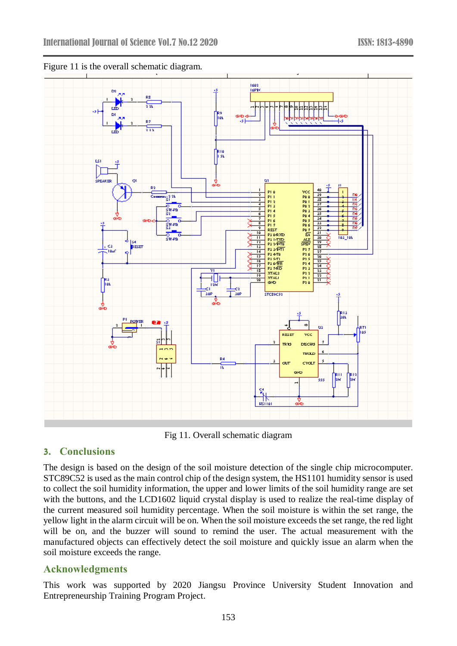

Figure 11 is the overall schematic diagram.

Fig 11. Overall schematic diagram

### **3. Conclusions**

The design is based on the design of the soil moisture detection of the single chip microcomputer. STC89C52 is used as the main control chip of the design system, the HS1101 humidity sensor is used to collect the soil humidity information, the upper and lower limits of the soil humidity range are set with the buttons, and the LCD1602 liquid crystal display is used to realize the real-time display of the current measured soil humidity percentage. When the soil moisture is within the set range, the yellow light in the alarm circuit will be on. When the soil moisture exceeds the set range, the red light will be on, and the buzzer will sound to remind the user. The actual measurement with the manufactured objects can effectively detect the soil moisture and quickly issue an alarm when the soil moisture exceeds the range.

# **Acknowledgments**

This work was supported by 2020 Jiangsu Province University Student Innovation and Entrepreneurship Training Program Project.